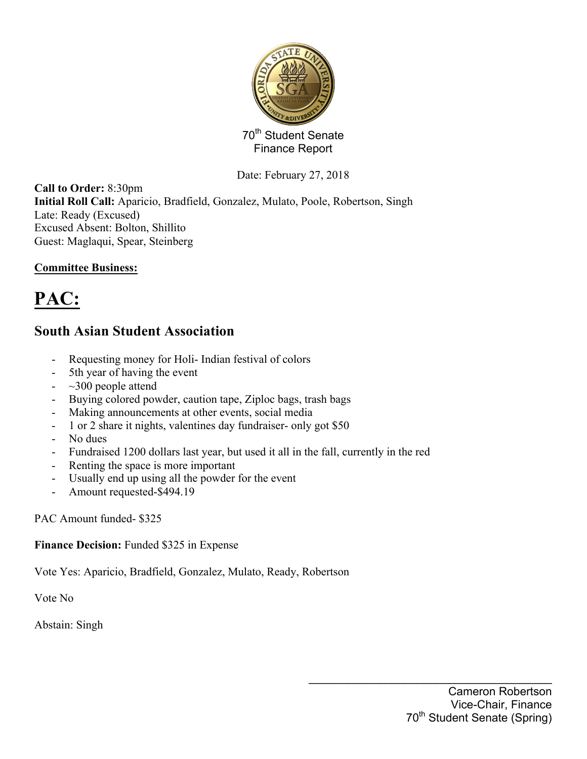

Date: February 27, 2018

**Call to Order:** 8:30pm **Initial Roll Call:** Aparicio, Bradfield, Gonzalez, Mulato, Poole, Robertson, Singh Late: Ready (Excused) Excused Absent: Bolton, Shillito Guest: Maglaqui, Spear, Steinberg

#### **Committee Business:**

# **PAC:**

# **South Asian Student Association**

- Requesting money for Holi- Indian festival of colors
- 5th year of having the event
- $\sim$  300 people attend
- Buying colored powder, caution tape, Ziploc bags, trash bags
- Making announcements at other events, social media
- 1 or 2 share it nights, valentines day fundraiser- only got \$50
- No dues
- Fundraised 1200 dollars last year, but used it all in the fall, currently in the red
- Renting the space is more important
- Usually end up using all the powder for the event
- Amount requested-\$494.19

#### PAC Amount funded- \$325

**Finance Decision:** Funded \$325 in Expense

Vote Yes: Aparicio, Bradfield, Gonzalez, Mulato, Ready, Robertson

Vote No

Abstain: Singh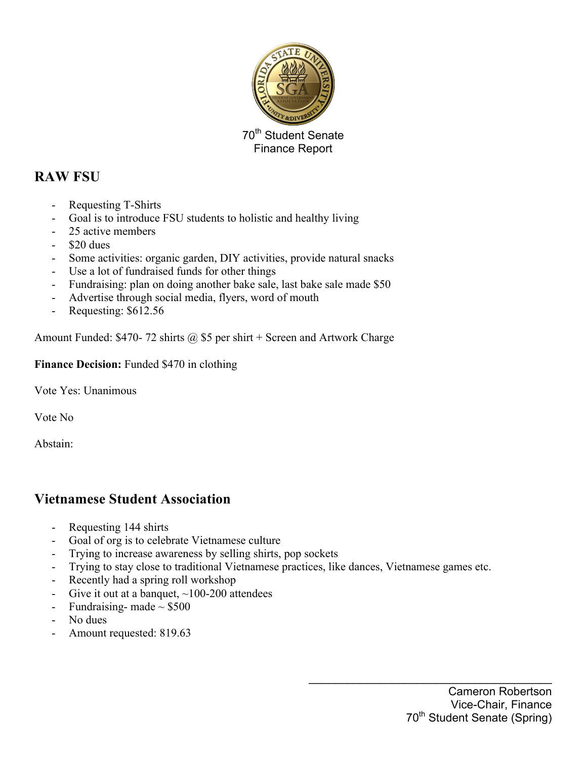

## **RAW FSU**

- Requesting T-Shirts
- Goal is to introduce FSU students to holistic and healthy living
- 25 active members
- \$20 dues
- Some activities: organic garden, DIY activities, provide natural snacks
- Use a lot of fundraised funds for other things
- Fundraising: plan on doing another bake sale, last bake sale made \$50
- Advertise through social media, flyers, word of mouth
- Requesting:  $$612.56$

Amount Funded: \$470- 72 shirts  $\omega$  \$5 per shirt + Screen and Artwork Charge

Finance Decision: Funded \$470 in clothing

Vote Yes: Unanimous

Vote No

Abstain:

### **Vietnamese Student Association**

- Requesting 144 shirts
- Goal of org is to celebrate Vietnamese culture
- Trying to increase awareness by selling shirts, pop sockets
- Trying to stay close to traditional Vietnamese practices, like dances, Vietnamese games etc.
- Recently had a spring roll workshop
- Give it out at a banquet,  $\sim$ 100-200 attendees
- Fundraising- made  $\sim$  \$500
- No dues
- Amount requested: 819.63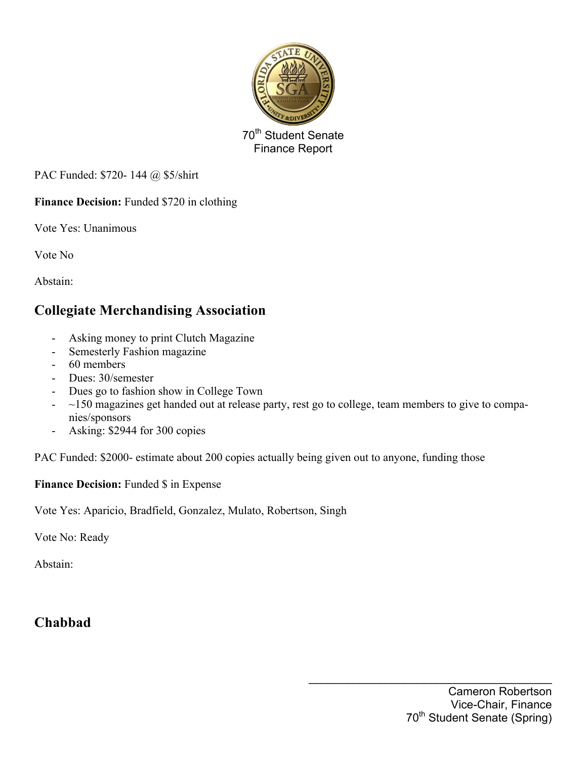

PAC Funded: \$720- 144 @ \$5/shirt

**Finance Decision:** Funded \$720 in clothing

Vote Yes: Unanimous

Vote No

Abstain:

# **Collegiate Merchandising Association**

- Asking money to print Clutch Magazine
- Semesterly Fashion magazine
- 60 members
- Dues: 30/semester
- Dues go to fashion show in College Town
- $-$  ~150 magazines get handed out at release party, rest go to college, team members to give to companies/sponsors
- Asking: \$2944 for 300 copies

PAC Funded: \$2000- estimate about 200 copies actually being given out to anyone, funding those

**Finance Decision:** Funded \$ in Expense

Vote Yes: Aparicio, Bradfield, Gonzalez, Mulato, Robertson, Singh

Vote No: Ready

Abstain:

## **Chabbad**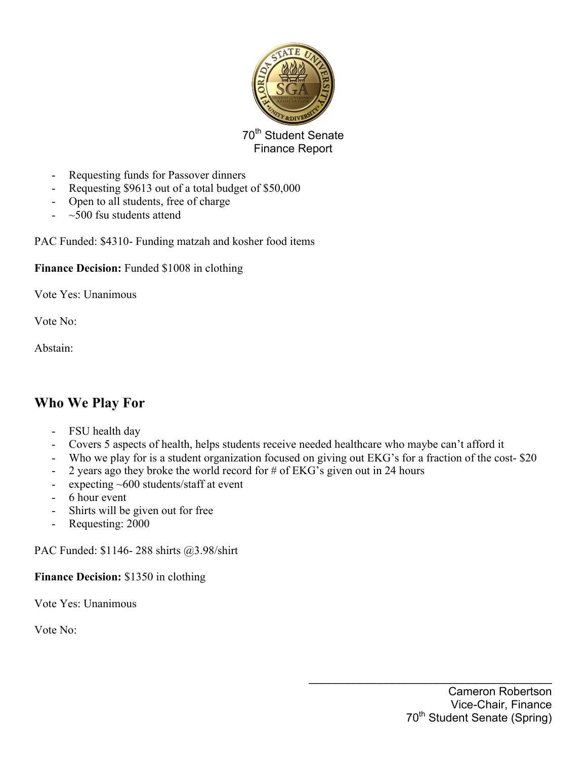

- Requesting funds for Passover dinners
- Requesting \$9613 out of a total budget of \$50,000
- Open to all students, free of charge
- $\sim$  500 fsu students attend

PAC Funded: \$4310- Funding matzah and kosher food items

#### **Finance Decision:** Funded \$1008 in clothing

Vote Yes: Unanimous

Vote No:

Abstain:

## **Who We Play For**

- FSU health day
- Covers 5 aspects of health, helps students receive needed healthcare who maybe can't afford it
- Who we play for is a student organization focused on giving out EKG's for a fraction of the cost- \$20
- 2 years ago they broke the world record for  $\#$  of EKG's given out in 24 hours
- expecting  $~600$  students/staff at event
- 6 hour event
- Shirts will be given out for free
- Requesting: 2000

PAC Funded: \$1146- 288 shirts @3.98/shirt

**Finance Decision:** \$1350 in clothing

Vote Yes: Unanimous

Vote No: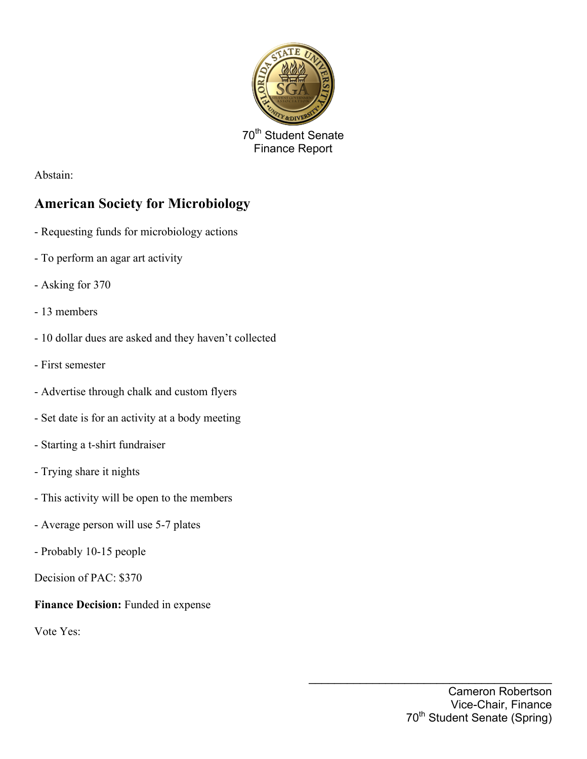

Abstain:

# **American Society for Microbiology**

- Requesting funds for microbiology actions
- To perform an agar art activity
- Asking for 370
- 13 members
- 10 dollar dues are asked and they haven't collected
- First semester
- Advertise through chalk and custom flyers
- Set date is for an activity at a body meeting
- Starting a t-shirt fundraiser
- Trying share it nights
- This activity will be open to the members
- Average person will use 5-7 plates
- Probably 10-15 people
- Decision of PAC: \$370

**Finance Decision:** Funded in expense

Vote Yes: